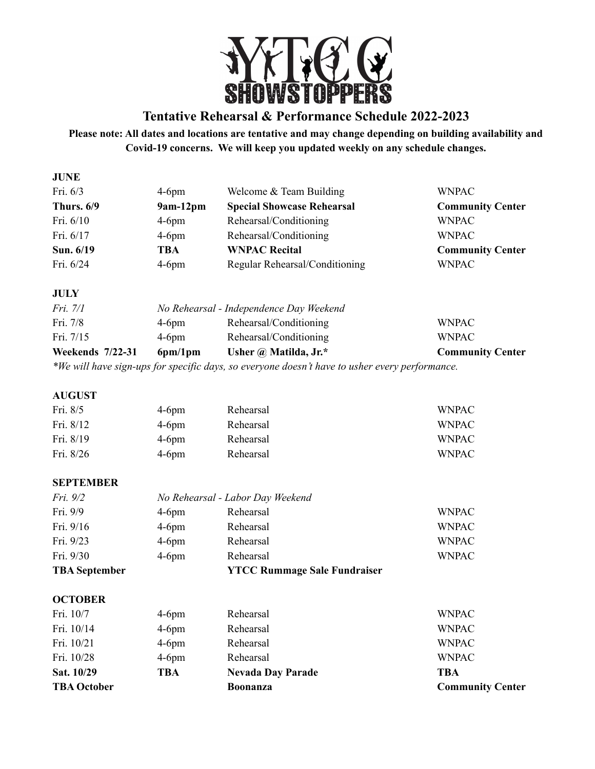

# **Tentative Rehearsal & Performance Schedule 2022-2023**

## **Please note: All dates and locations are tentative and may change depending on building availability and Covid-19 concerns. We will keep you updated weekly on any schedule changes.**

| <b>JUNE</b>  |            |                                   |                         |
|--------------|------------|-----------------------------------|-------------------------|
| Fri. $6/3$   | $4-6$ pm   | Welcome $&$ Team Building         | <b>WNPAC</b>            |
| Thurs. $6/9$ | $9am-12pm$ | <b>Special Showcase Rehearsal</b> | <b>Community Center</b> |
| Fri. $6/10$  | $4-6$ pm   | Rehearsal/Conditioning            | <b>WNPAC</b>            |
| Fri. $6/17$  | $4-6$ pm   | Rehearsal/Conditioning            | <b>WNPAC</b>            |
| Sun. 6/19    | TBA        | <b>WNPAC Recital</b>              | <b>Community Center</b> |
| Fri. $6/24$  | $4-6$ pm   | Regular Rehearsal/Conditioning    | <b>WNPAC</b>            |
|              |            |                                   |                         |

## **JULY**

| <b>Weekends</b> 7/22-31<br>$\mathbf{r}$ | 6pm/1pm                                 | Usher $\omega$ Matilda, Jr.* | <b>Community Center</b> |
|-----------------------------------------|-----------------------------------------|------------------------------|-------------------------|
| Fri. $7/15$                             | $4-6$ pm                                | Rehearsal/Conditioning       | <b>WNPAC</b>            |
| Fri. 7/8                                | $4-6$ pm                                | Rehearsal/Conditioning       | <b>WNPAC</b>            |
| Fri. 7/1                                | No Rehearsal - Independence Day Weekend |                              |                         |

*\*We will have sign-ups for specific days, so everyone doesn't have to usher every performance.*

## **AUGUST**

| Fri. $8/5$  | $4-6pm$  | Rehearsal | <b>WNPAC</b> |
|-------------|----------|-----------|--------------|
| Fri. $8/12$ | $4-6$ pm | Rehearsal | WNPAC.       |
| Fri. $8/19$ | $4-6$ pm | Rehearsal | WNPAC.       |
| Fri. $8/26$ | $4-6$ pm | Rehearsal | WNPAC.       |

## **SEPTEMBER**

| <b>TBA</b> September |                                  | <b>YTCC Rummage Sale Fundraiser</b> |              |
|----------------------|----------------------------------|-------------------------------------|--------------|
| Fri. 9/30            | $4-6$ pm                         | Rehearsal                           | <b>WNPAC</b> |
| Fri. 9/23            | $4-6$ pm                         | Rehearsal                           | <b>WNPAC</b> |
| Fri. 9/16            | $4-6$ pm                         | Rehearsal                           | <b>WNPAC</b> |
| Fri. 9/9             | $4-6$ pm                         | Rehearsal                           | <b>WNPAC</b> |
| Fri. $9/2$           | No Rehearsal - Labor Day Weekend |                                     |              |

## **OCTOBER**

| <b>TBA October</b> |          | <b>Boonanza</b>          | <b>Community Center</b> |
|--------------------|----------|--------------------------|-------------------------|
| Sat. 10/29         | TBA      | <b>Nevada Day Parade</b> | TBA                     |
| Fri. 10/28         | $4-6$ pm | Rehearsal                | <b>WNPAC</b>            |
| Fri. 10/21         | $4-6$ pm | Rehearsal                | <b>WNPAC</b>            |
| Fri. 10/14         | $4-6$ pm | Rehearsal                | <b>WNPAC</b>            |
| Fri. 10/7          | $4-6$ pm | Rehearsal                | <b>WNPAC</b>            |